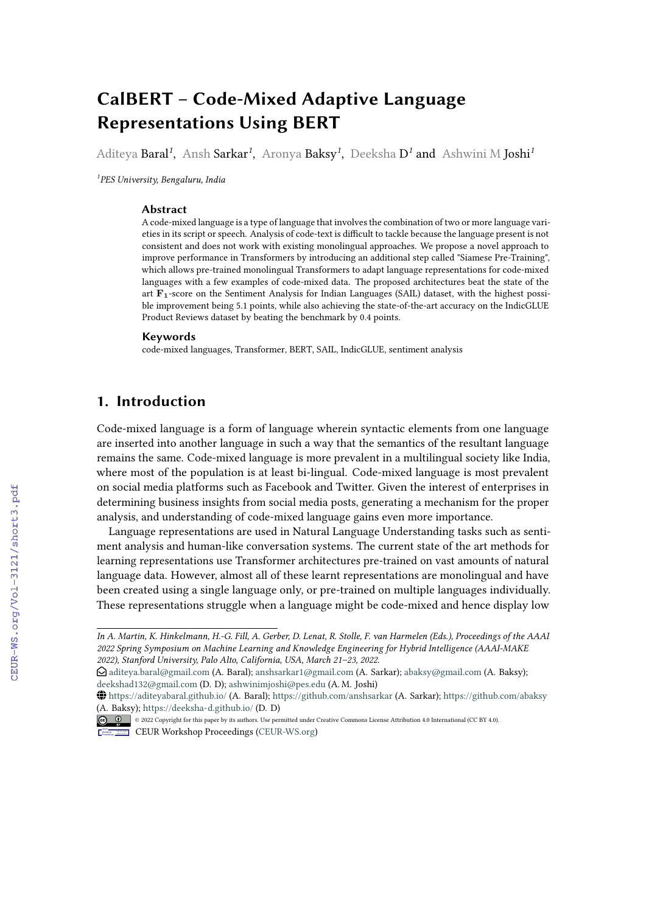# **CalBERT – Code-Mixed Adaptive Language Representations Using BERT**

Aditeya **Baral<sup>1</sup>, Ansh Sarkar<sup>1</sup>, Aronya <b>Baksy<sup>1</sup>, Deeksha D<sup>1</sup> and** Ashwini M **Joshi**<sup>1</sup>

*1 PES University, Bengaluru, India*

#### **Abstract**

A code-mixed language is a type of language that involves the combination of two or more language varieties in its script or speech. Analysis of code-text is difficult to tackle because the language present is not consistent and does not work with existing monolingual approaches. We propose a novel approach to improve performance in Transformers by introducing an additional step called "Siamese Pre-Training", which allows pre-trained monolingual Transformers to adapt language representations for code-mixed languages with a few examples of code-mixed data. The proposed architectures beat the state of the art F1-score on the Sentiment Analysis for Indian Languages (SAIL) dataset, with the highest possible improvement being 5.1 points, while also achieving the state-of-the-art accuracy on the IndicGLUE Product Reviews dataset by beating the benchmark by 0.4 points.

#### **Keywords**

code-mixed languages, Transformer, BERT, SAIL, IndicGLUE, sentiment analysis

# **1. Introduction**

Code-mixed language is a form of language wherein syntactic elements from one language are inserted into another language in such a way that the semantics of the resultant language remains the same. Code-mixed language is more prevalent in a multilingual society like India, where most of the population is at least bi-lingual. Code-mixed language is most prevalent on social media platforms such as Facebook and Twitter. Given the interest of enterprises in determining business insights from social media posts, generating a mechanism for the proper analysis, and understanding of code-mixed language gains even more importance.

Language representations are used in Natural Language Understanding tasks such as sentiment analysis and human-like conversation systems. The current state of the art methods for learning representations use Transformer architectures pre-trained on vast amounts of natural language data. However, almost all of these learnt representations are monolingual and have been created using a single language only, or pre-trained on multiple languages individually. These representations struggle when a language might be code-mixed and hence display low

*In A. Martin, K. Hinkelmann, H.-G. Fill, A. Gerber, D. Lenat, R. Stolle, F. van Harmelen (Eds.), Proceedings of the AAAI 2022 Spring Symposium on Machine Learning and Knowledge Engineering for Hybrid Intelligence (AAAI-MAKE 2022), Stanford University, Palo Alto, California, USA, March 21–23, 2022.*

 $\bigcirc$  [aditeya.baral@gmail.com](mailto:aditeya.baral@gmail.com) (A. Baral); [anshsarkar1@gmail.com](mailto:anshsarkar1@gmail.com) (A. Sarkar); [abaksy@gmail.com](mailto:abaksy@gmail.com) (A. Baksy); [deekshad132@gmail.com](mailto:deekshad132@gmail.com) (D. D); [ashwinimjoshi@pes.edu](mailto:ashwinimjoshi@pes.edu) (A. M. Joshi)

<sup>~</sup> <https://aditeyabaral.github.io/> (A. Baral); <https://github.com/anshsarkar> (A. Sarkar); <https://github.com/abaksy> [\(A. Baksy](https://creativecommons.org/licenses/by/4.0)); <https://deeksha-d.github.io/> (D. D)

<sup>©</sup> 2022 Copyright for this paper by its authors. Use permitted under Creative Commons License Attribution 4.0 International (CC BY 4.0).

CEUR Workshop [Proceedings](http://ceur-ws.org) [\(CEUR-WS.org\)](http://ceur-ws.org)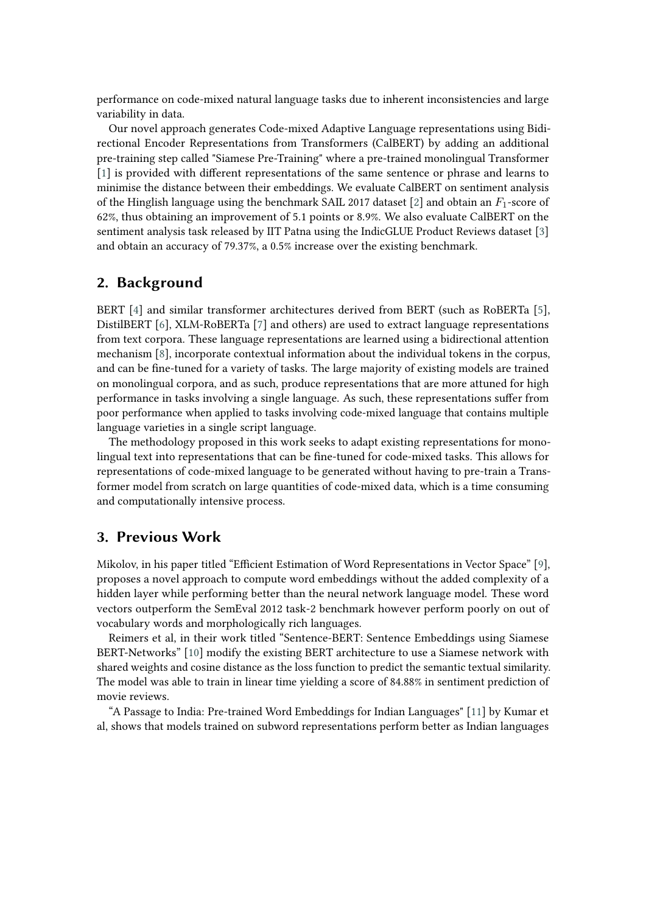performance on code-mixed natural language tasks due to inherent inconsistencies and large variability in data.

Our novel approach generates Code-mixed Adaptive Language representations using Bidirectional Encoder Representations from Transformers (CalBERT) by adding an additional pre-training step called "Siamese Pre-Training" where a pre-trained monolingual Transformer [\[1\]](#page-11-0) is provided with different representations of the same sentence or phrase and learns to minimise the distance between their embeddings. We evaluate CalBERT on sentiment analysis of the Hinglish language using the benchmark SAIL 2017 dataset [\[2\]](#page-11-1) and obtain an  $F_1$ -score of 62%, thus obtaining an improvement of 5.1 points or 8.9%. We also evaluate CalBERT on the sentiment analysis task released by IIT Patna using the IndicGLUE Product Reviews dataset [\[3\]](#page-11-2) and obtain an accuracy of 79.37%, a 0.5% increase over the existing benchmark.

# **2. Background**

BERT [\[4\]](#page-11-3) and similar transformer architectures derived from BERT (such as RoBERTa [\[5\]](#page-11-4), DistilBERT [\[6\]](#page-11-5), XLM-RoBERTa [\[7\]](#page-11-6) and others) are used to extract language representations from text corpora. These language representations are learned using a bidirectional attention mechanism [\[8\]](#page-11-7), incorporate contextual information about the individual tokens in the corpus, and can be fine-tuned for a variety of tasks. The large majority of existing models are trained on monolingual corpora, and as such, produce representations that are more attuned for high performance in tasks involving a single language. As such, these representations suffer from poor performance when applied to tasks involving code-mixed language that contains multiple language varieties in a single script language.

The methodology proposed in this work seeks to adapt existing representations for monolingual text into representations that can be fine-tuned for code-mixed tasks. This allows for representations of code-mixed language to be generated without having to pre-train a Transformer model from scratch on large quantities of code-mixed data, which is a time consuming and computationally intensive process.

# **3. Previous Work**

Mikolov, in his paper titled "Efficient Estimation of Word Representations in Vector Space" [\[9\]](#page-11-8), proposes a novel approach to compute word embeddings without the added complexity of a hidden layer while performing better than the neural network language model. These word vectors outperform the SemEval 2012 task-2 benchmark however perform poorly on out of vocabulary words and morphologically rich languages.

Reimers et al, in their work titled "Sentence-BERT: Sentence Embeddings using Siamese BERT-Networks" [\[10\]](#page-11-9) modify the existing BERT architecture to use a Siamese network with shared weights and cosine distance as the loss function to predict the semantic textual similarity. The model was able to train in linear time yielding a score of 84.88% in sentiment prediction of movie reviews.

"A Passage to India: Pre-trained Word Embeddings for Indian Languages" [\[11\]](#page-12-0) by Kumar et al, shows that models trained on subword representations perform better as Indian languages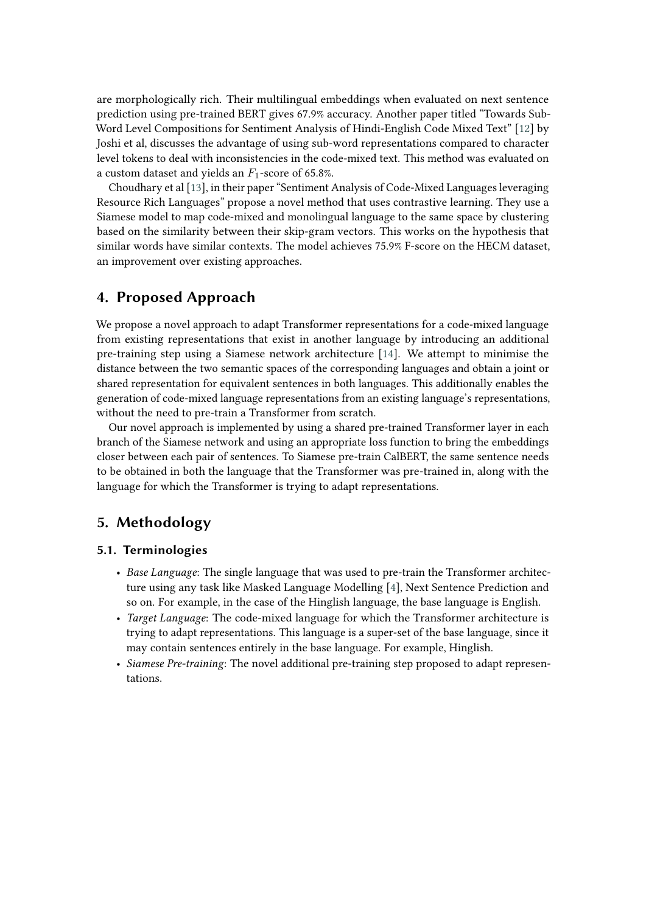are morphologically rich. Their multilingual embeddings when evaluated on next sentence prediction using pre-trained BERT gives 67.9% accuracy. Another paper titled "Towards Sub-Word Level Compositions for Sentiment Analysis of Hindi-English Code Mixed Text" [\[12\]](#page-12-1) by Joshi et al, discusses the advantage of using sub-word representations compared to character level tokens to deal with inconsistencies in the code-mixed text. This method was evaluated on a custom dataset and yields an  $F_1$ -score of 65.8%.

Choudhary et al [\[13\]](#page-12-2), in their paper "Sentiment Analysis of Code-Mixed Languages leveraging Resource Rich Languages" propose a novel method that uses contrastive learning. They use a Siamese model to map code-mixed and monolingual language to the same space by clustering based on the similarity between their skip-gram vectors. This works on the hypothesis that similar words have similar contexts. The model achieves 75.9% F-score on the HECM dataset, an improvement over existing approaches.

# **4. Proposed Approach**

We propose a novel approach to adapt Transformer representations for a code-mixed language from existing representations that exist in another language by introducing an additional pre-training step using a Siamese network architecture [\[14\]](#page-12-3). We attempt to minimise the distance between the two semantic spaces of the corresponding languages and obtain a joint or shared representation for equivalent sentences in both languages. This additionally enables the generation of code-mixed language representations from an existing language's representations, without the need to pre-train a Transformer from scratch.

Our novel approach is implemented by using a shared pre-trained Transformer layer in each branch of the Siamese network and using an appropriate loss function to bring the embeddings closer between each pair of sentences. To Siamese pre-train CalBERT, the same sentence needs to be obtained in both the language that the Transformer was pre-trained in, along with the language for which the Transformer is trying to adapt representations.

# **5. Methodology**

# **5.1. Terminologies**

- *Base Language*: The single language that was used to pre-train the Transformer architecture using any task like Masked Language Modelling [\[4\]](#page-11-3), Next Sentence Prediction and so on. For example, in the case of the Hinglish language, the base language is English.
- *Target Language*: The code-mixed language for which the Transformer architecture is trying to adapt representations. This language is a super-set of the base language, since it may contain sentences entirely in the base language. For example, Hinglish.
- *Siamese Pre-training*: The novel additional pre-training step proposed to adapt representations.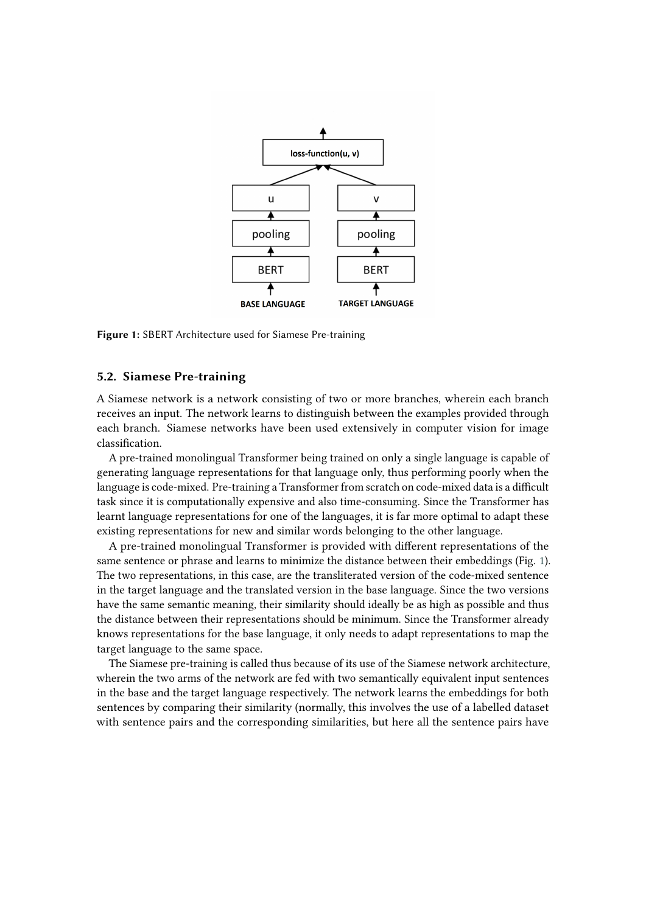

<span id="page-3-0"></span>**Figure 1:** SBERT Architecture used for Siamese Pre-training

#### **5.2. Siamese Pre-training**

A Siamese network is a network consisting of two or more branches, wherein each branch receives an input. The network learns to distinguish between the examples provided through each branch. Siamese networks have been used extensively in computer vision for image classification.

A pre-trained monolingual Transformer being trained on only a single language is capable of generating language representations for that language only, thus performing poorly when the language is code-mixed. Pre-training a Transformer from scratch on code-mixed data is a difficult task since it is computationally expensive and also time-consuming. Since the Transformer has learnt language representations for one of the languages, it is far more optimal to adapt these existing representations for new and similar words belonging to the other language.

A pre-trained monolingual Transformer is provided with different representations of the same sentence or phrase and learns to minimize the distance between their embeddings (Fig. [1\)](#page-3-0). The two representations, in this case, are the transliterated version of the code-mixed sentence in the target language and the translated version in the base language. Since the two versions have the same semantic meaning, their similarity should ideally be as high as possible and thus the distance between their representations should be minimum. Since the Transformer already knows representations for the base language, it only needs to adapt representations to map the target language to the same space.

The Siamese pre-training is called thus because of its use of the Siamese network architecture, wherein the two arms of the network are fed with two semantically equivalent input sentences in the base and the target language respectively. The network learns the embeddings for both sentences by comparing their similarity (normally, this involves the use of a labelled dataset with sentence pairs and the corresponding similarities, but here all the sentence pairs have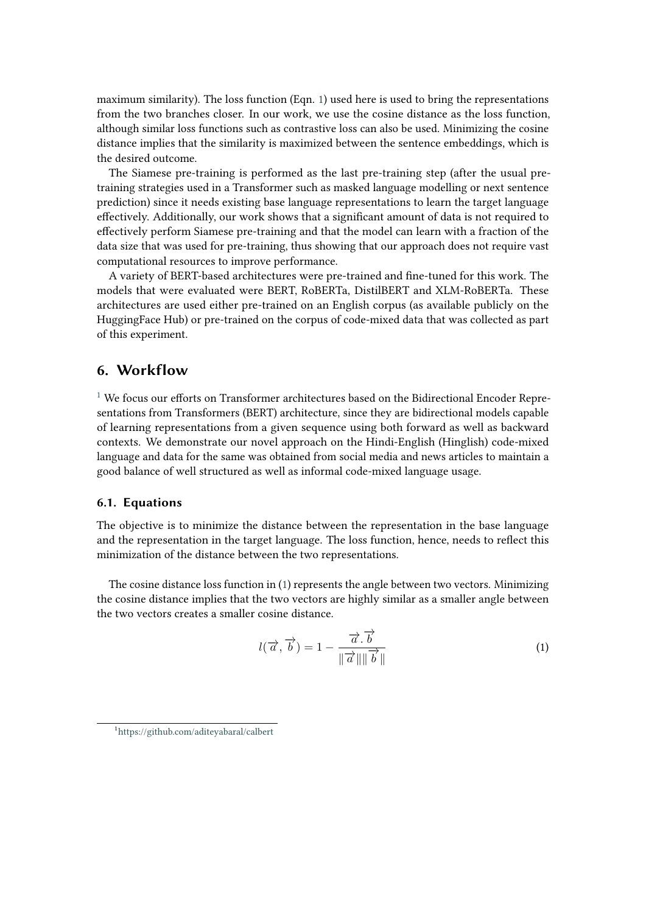maximum similarity). The loss function (Eqn. [1\)](#page-4-0) used here is used to bring the representations from the two branches closer. In our work, we use the cosine distance as the loss function, although similar loss functions such as contrastive loss can also be used. Minimizing the cosine distance implies that the similarity is maximized between the sentence embeddings, which is the desired outcome.

The Siamese pre-training is performed as the last pre-training step (after the usual pretraining strategies used in a Transformer such as masked language modelling or next sentence prediction) since it needs existing base language representations to learn the target language effectively. Additionally, our work shows that a significant amount of data is not required to effectively perform Siamese pre-training and that the model can learn with a fraction of the data size that was used for pre-training, thus showing that our approach does not require vast computational resources to improve performance.

A variety of BERT-based architectures were pre-trained and fine-tuned for this work. The models that were evaluated were BERT, RoBERTa, DistilBERT and XLM-RoBERTa. These architectures are used either pre-trained on an English corpus (as available publicly on the HuggingFace Hub) or pre-trained on the corpus of code-mixed data that was collected as part of this experiment.

# **6. Workflow**

 $1$  We focus our efforts on Transformer architectures based on the Bidirectional Encoder Representations from Transformers (BERT) architecture, since they are bidirectional models capable of learning representations from a given sequence using both forward as well as backward contexts. We demonstrate our novel approach on the Hindi-English (Hinglish) code-mixed language and data for the same was obtained from social media and news articles to maintain a good balance of well structured as well as informal code-mixed language usage.

### **6.1. Equations**

The objective is to minimize the distance between the representation in the base language and the representation in the target language. The loss function, hence, needs to reflect this minimization of the distance between the two representations.

The cosine distance loss function in [\(1\)](#page-4-0) represents the angle between two vectors. Minimizing the cosine distance implies that the two vectors are highly similar as a smaller angle between the two vectors creates a smaller cosine distance.

<span id="page-4-0"></span>
$$
l(\overrightarrow{a}, \overrightarrow{b}) = 1 - \frac{\overrightarrow{a} \cdot \overrightarrow{b}}{\|\overrightarrow{a}\| \|\overrightarrow{b}\|}
$$
 (1)

<span id="page-4-1"></span><sup>1</sup> <https://github.com/aditeyabaral/calbert>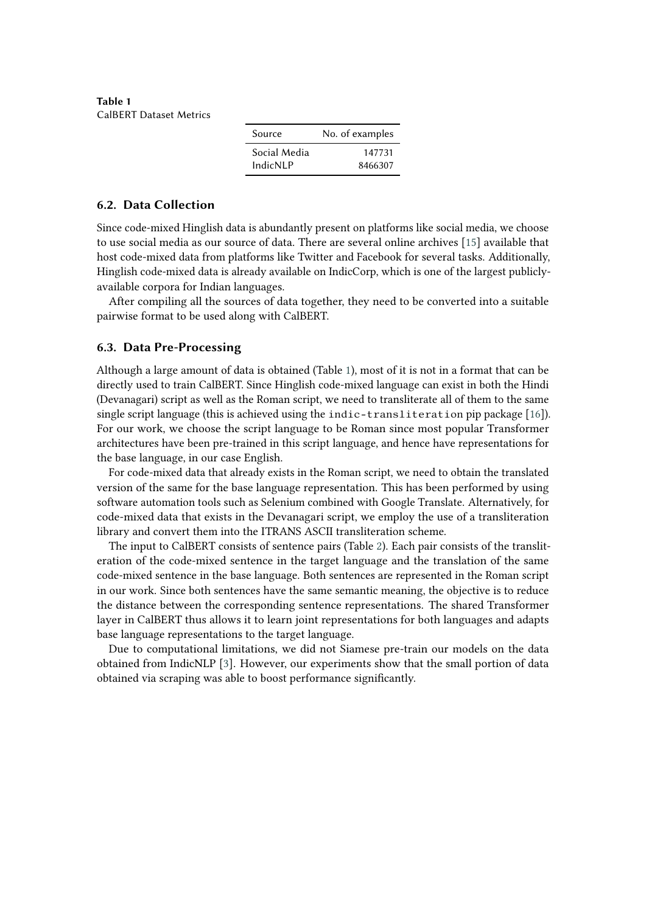<span id="page-5-0"></span>**Table 1** CalBERT Dataset Metrics

| Source       | No. of examples |
|--------------|-----------------|
| Social Media | 147731          |
| IndicNLP     | 8466307         |

#### **6.2. Data Collection**

Since code-mixed Hinglish data is abundantly present on platforms like social media, we choose to use social media as our source of data. There are several online archives [\[15\]](#page-12-4) available that host code-mixed data from platforms like Twitter and Facebook for several tasks. Additionally, Hinglish code-mixed data is already available on IndicCorp, which is one of the largest publiclyavailable corpora for Indian languages.

After compiling all the sources of data together, they need to be converted into a suitable pairwise format to be used along with CalBERT.

#### **6.3. Data Pre-Processing**

Although a large amount of data is obtained (Table [1\)](#page-5-0), most of it is not in a format that can be directly used to train CalBERT. Since Hinglish code-mixed language can exist in both the Hindi (Devanagari) script as well as the Roman script, we need to transliterate all of them to the same single script language (this is achieved using the indic-transliteration pip package [\[16\]](#page-12-5)). For our work, we choose the script language to be Roman since most popular Transformer architectures have been pre-trained in this script language, and hence have representations for the base language, in our case English.

For code-mixed data that already exists in the Roman script, we need to obtain the translated version of the same for the base language representation. This has been performed by using software automation tools such as Selenium combined with Google Translate. Alternatively, for code-mixed data that exists in the Devanagari script, we employ the use of a transliteration library and convert them into the ITRANS ASCII transliteration scheme.

The input to CalBERT consists of sentence pairs (Table [2\)](#page-6-0). Each pair consists of the transliteration of the code-mixed sentence in the target language and the translation of the same code-mixed sentence in the base language. Both sentences are represented in the Roman script in our work. Since both sentences have the same semantic meaning, the objective is to reduce the distance between the corresponding sentence representations. The shared Transformer layer in CalBERT thus allows it to learn joint representations for both languages and adapts base language representations to the target language.

Due to computational limitations, we did not Siamese pre-train our models on the data obtained from IndicNLP [\[3\]](#page-11-2). However, our experiments show that the small portion of data obtained via scraping was able to boost performance significantly.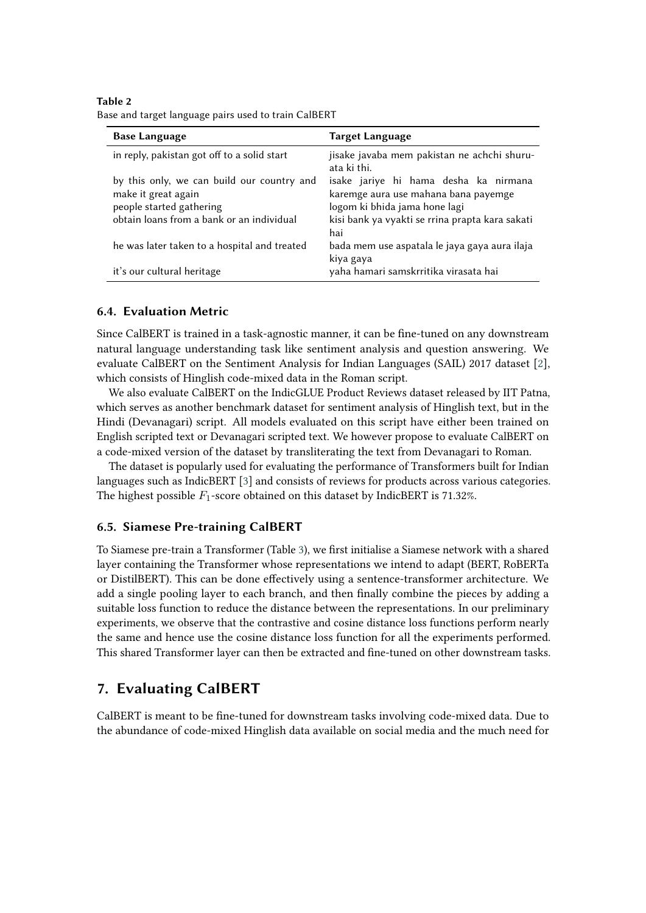<span id="page-6-0"></span>

| Table 2                                              |  |
|------------------------------------------------------|--|
| Base and target language pairs used to train CalBERT |  |

| <b>Base Language</b>                         | Target Language                                            |
|----------------------------------------------|------------------------------------------------------------|
| in reply, pakistan got off to a solid start  | jisake javaba mem pakistan ne achchi shuru-<br>ata ki thi. |
| by this only, we can build our country and   | isake jariye hi hama desha ka nirmana                      |
| make it great again                          | karemge aura use mahana bana payemge                       |
| people started gathering                     | logom ki bhida jama hone lagi                              |
| obtain loans from a bank or an individual    | kisi bank ya vyakti se rrina prapta kara sakati            |
|                                              | hai                                                        |
| he was later taken to a hospital and treated | bada mem use aspatala le jaya gaya aura ilaja              |
|                                              | kiya gaya                                                  |
| it's our cultural heritage                   | yaha hamari samskrritika virasata hai                      |

#### **6.4. Evaluation Metric**

Since CalBERT is trained in a task-agnostic manner, it can be fine-tuned on any downstream natural language understanding task like sentiment analysis and question answering. We evaluate CalBERT on the Sentiment Analysis for Indian Languages (SAIL) 2017 dataset [\[2\]](#page-11-1), which consists of Hinglish code-mixed data in the Roman script.

We also evaluate CalBERT on the IndicGLUE Product Reviews dataset released by IIT Patna, which serves as another benchmark dataset for sentiment analysis of Hinglish text, but in the Hindi (Devanagari) script. All models evaluated on this script have either been trained on English scripted text or Devanagari scripted text. We however propose to evaluate CalBERT on a code-mixed version of the dataset by transliterating the text from Devanagari to Roman.

The dataset is popularly used for evaluating the performance of Transformers built for Indian languages such as IndicBERT [\[3\]](#page-11-2) and consists of reviews for products across various categories. The highest possible  $F_1$ -score obtained on this dataset by IndicBERT is 71.32%.

#### **6.5. Siamese Pre-training CalBERT**

To Siamese pre-train a Transformer (Table [3\)](#page-7-0), we first initialise a Siamese network with a shared layer containing the Transformer whose representations we intend to adapt (BERT, RoBERTa or DistilBERT). This can be done effectively using a sentence-transformer architecture. We add a single pooling layer to each branch, and then finally combine the pieces by adding a suitable loss function to reduce the distance between the representations. In our preliminary experiments, we observe that the contrastive and cosine distance loss functions perform nearly the same and hence use the cosine distance loss function for all the experiments performed. This shared Transformer layer can then be extracted and fine-tuned on other downstream tasks.

# **7. Evaluating CalBERT**

CalBERT is meant to be fine-tuned for downstream tasks involving code-mixed data. Due to the abundance of code-mixed Hinglish data available on social media and the much need for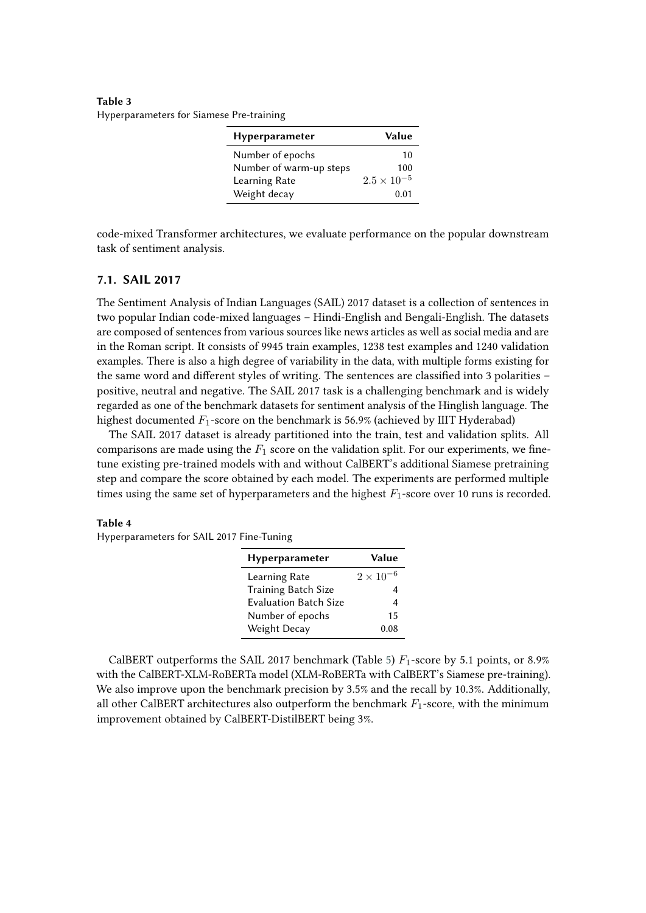<span id="page-7-0"></span>**Table 3** Hyperparameters for Siamese Pre-training

| Hyperparameter          | Value                |
|-------------------------|----------------------|
| Number of epochs        | 10                   |
| Number of warm-up steps | 100                  |
| Learning Rate           | $2.5 \times 10^{-5}$ |
| Weight decay            | 0.01                 |

code-mixed Transformer architectures, we evaluate performance on the popular downstream task of sentiment analysis.

## **7.1. SAIL 2017**

The Sentiment Analysis of Indian Languages (SAIL) 2017 dataset is a collection of sentences in two popular Indian code-mixed languages – Hindi-English and Bengali-English. The datasets are composed of sentences from various sources like news articles as well as social media and are in the Roman script. It consists of 9945 train examples, 1238 test examples and 1240 validation examples. There is also a high degree of variability in the data, with multiple forms existing for the same word and different styles of writing. The sentences are classified into 3 polarities – positive, neutral and negative. The SAIL 2017 task is a challenging benchmark and is widely regarded as one of the benchmark datasets for sentiment analysis of the Hinglish language. The highest documented  $F_1$ -score on the benchmark is 56.9% (achieved by IIIT Hyderabad)

The SAIL 2017 dataset is already partitioned into the train, test and validation splits. All comparisons are made using the  $F_1$  score on the validation split. For our experiments, we finetune existing pre-trained models with and without CalBERT's additional Siamese pretraining step and compare the score obtained by each model. The experiments are performed multiple times using the same set of hyperparameters and the highest  $F_1$ -score over 10 runs is recorded.

#### **Table 4**

Hyperparameters for SAIL 2017 Fine-Tuning

| Hyperparameter               | Value              |
|------------------------------|--------------------|
| Learning Rate                | $2 \times 10^{-6}$ |
| <b>Training Batch Size</b>   |                    |
| <b>Evaluation Batch Size</b> |                    |
| Number of epochs             | 15                 |
| Weight Decay                 | 0.08               |

CalBERT outperforms the SAIL 2017 benchmark (Table [5\)](#page-8-0)  $F_1$ -score by 5.1 points, or 8.9% with the CalBERT-XLM-RoBERTa model (XLM-RoBERTa with CalBERT's Siamese pre-training). We also improve upon the benchmark precision by 3.5% and the recall by 10.3%. Additionally, all other CalBERT architectures also outperform the benchmark  $F_1$ -score, with the minimum improvement obtained by CalBERT-DistilBERT being 3%.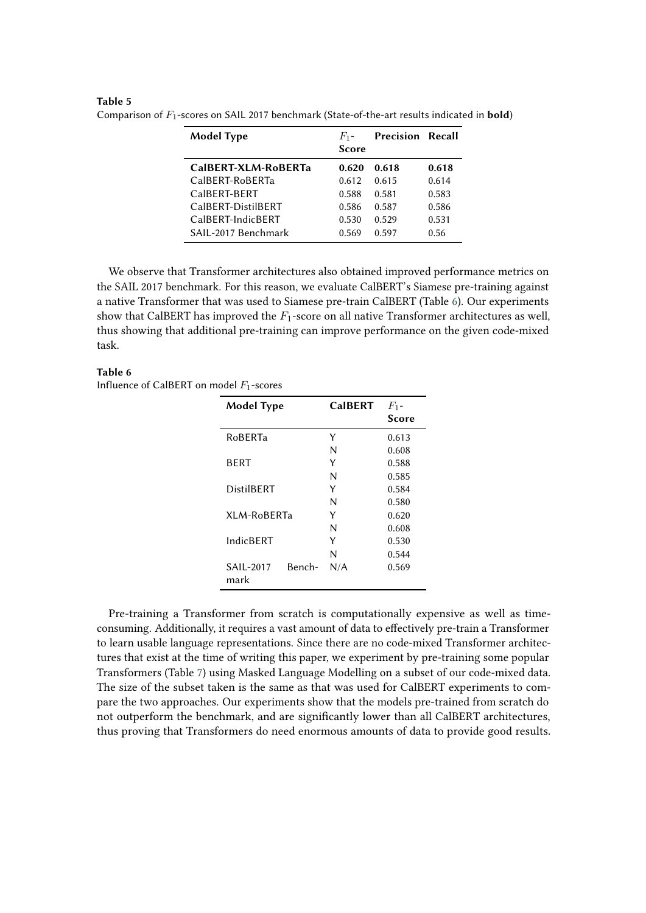| <b>Model Type</b>   | $F_1$ -<br><b>Score</b> | <b>Precision Recall</b> |       |
|---------------------|-------------------------|-------------------------|-------|
| CalBERT-XLM-RoBERTa | 0.620                   | 0.618                   | 0.618 |
| CalBERT-RoBERTa     | 0.612                   | 0.615                   | 0.614 |
| CaIBFRT-BFRT        | 0.588                   | 0.581                   | 0.583 |
| CalBERT-DistilBERT  | 0.586                   | 0.587                   | 0.586 |
| CalBERT-IndicBERT   | 0.530                   | 0.529                   | 0.531 |
| SAIL-2017 Benchmark | 0.569                   | 0.597                   | 0.56  |

<span id="page-8-0"></span>**Table 5** Comparison of  $F_1$ -scores on SAIL 2017 benchmark (State-of-the-art results indicated in **bold**)

We observe that Transformer architectures also obtained improved performance metrics on the SAIL 2017 benchmark. For this reason, we evaluate CalBERT's Siamese pre-training against a native Transformer that was used to Siamese pre-train CalBERT (Table [6\)](#page-8-1). Our experiments show that CalBERT has improved the  $F_1$ -score on all native Transformer architectures as well, thus showing that additional pre-training can improve performance on the given code-mixed task.

#### **Table 6**

<span id="page-8-1"></span>Influence of CalBERT on model  $F_1$ -scores

| <b>Model Type</b>           | <b>CalBERT</b> | $F_1$ -<br>Score |
|-----------------------------|----------------|------------------|
| RoBERTa                     | Y              | 0.613            |
|                             | N              | 0.608            |
| <b>BFRT</b>                 | Y              | 0.588            |
|                             | N              | 0.585            |
| DistilBERT                  | Y              | 0.584            |
|                             | N              | 0.580            |
| XLM-RoBERTa                 | Y              | 0.620            |
|                             | N              | 0.608            |
| IndicBFRT                   | Y              | 0.530            |
|                             | N              | 0.544            |
| Bench-<br>SAIL-2017<br>mark | N/A            | 0.569            |

Pre-training a Transformer from scratch is computationally expensive as well as timeconsuming. Additionally, it requires a vast amount of data to effectively pre-train a Transformer to learn usable language representations. Since there are no code-mixed Transformer architectures that exist at the time of writing this paper, we experiment by pre-training some popular Transformers (Table [7\)](#page-9-0) using Masked Language Modelling on a subset of our code-mixed data. The size of the subset taken is the same as that was used for CalBERT experiments to compare the two approaches. Our experiments show that the models pre-trained from scratch do not outperform the benchmark, and are significantly lower than all CalBERT architectures, thus proving that Transformers do need enormous amounts of data to provide good results.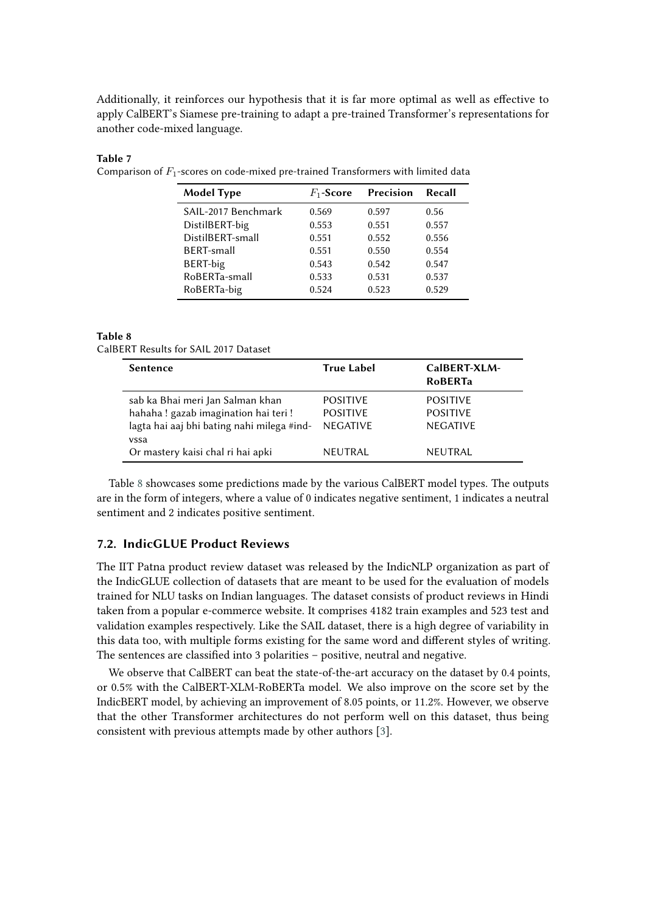Additionally, it reinforces our hypothesis that it is far more optimal as well as effective to apply CalBERT's Siamese pre-training to adapt a pre-trained Transformer's representations for another code-mixed language.

#### **Table 7**

<span id="page-9-0"></span>Comparison of  $F_1$ -scores on code-mixed pre-trained Transformers with limited data

| <b>Model Type</b>   | $F_1$ -Score | Precision | Recall |
|---------------------|--------------|-----------|--------|
| SAIL-2017 Benchmark | 0.569        | 0.597     | 0.56   |
| DistilBERT-big      | 0.553        | 0.551     | 0.557  |
| DistilBERT-small    | 0.551        | 0.552     | 0.556  |
| <b>BERT-small</b>   | 0.551        | 0.550     | 0.554  |
| BERT-big            | 0.543        | 0.542     | 0.547  |
| RoBERTa-small       | 0.533        | 0.531     | 0.537  |
| RoBERTa-big         | 0.524        | 0.523     | 0.529  |

#### **Table 8**

<span id="page-9-1"></span>CalBERT Results for SAIL 2017 Dataset

| <b>Sentence</b>                                                                                                               | <b>True Label</b>                                     | CalBERT-XLM-<br><b>RoBERTa</b>                        |
|-------------------------------------------------------------------------------------------------------------------------------|-------------------------------------------------------|-------------------------------------------------------|
| sab ka Bhai meri Jan Salman khan<br>hahaha! gazab imagination hai teri!<br>lagta hai aaj bhi bating nahi milega #ind-<br>vssa | <b>POSITIVE</b><br><b>POSITIVE</b><br><b>NEGATIVE</b> | <b>POSITIVE</b><br><b>POSITIVE</b><br><b>NEGATIVE</b> |
| Or mastery kaisi chal ri hai apki                                                                                             | <b>NEUTRAL</b>                                        | NEUTRAL                                               |

Table [8](#page-9-1) showcases some predictions made by the various CalBERT model types. The outputs are in the form of integers, where a value of 0 indicates negative sentiment, 1 indicates a neutral sentiment and 2 indicates positive sentiment.

#### **7.2. IndicGLUE Product Reviews**

The IIT Patna product review dataset was released by the IndicNLP organization as part of the IndicGLUE collection of datasets that are meant to be used for the evaluation of models trained for NLU tasks on Indian languages. The dataset consists of product reviews in Hindi taken from a popular e-commerce website. It comprises 4182 train examples and 523 test and validation examples respectively. Like the SAIL dataset, there is a high degree of variability in this data too, with multiple forms existing for the same word and different styles of writing. The sentences are classified into 3 polarities – positive, neutral and negative.

We observe that CalBERT can beat the state-of-the-art accuracy on the dataset by 0.4 points, or 0.5% with the CalBERT-XLM-RoBERTa model. We also improve on the score set by the IndicBERT model, by achieving an improvement of 8.05 points, or 11.2%. However, we observe that the other Transformer architectures do not perform well on this dataset, thus being consistent with previous attempts made by other authors [\[3\]](#page-11-2).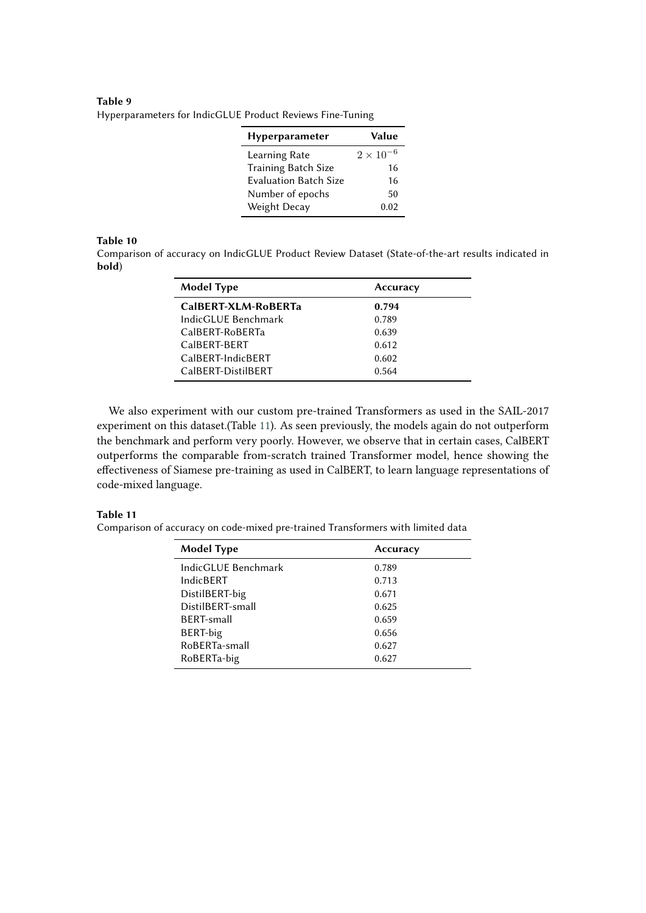#### **Table 9** Hyperparameters for IndicGLUE Product Reviews Fine-Tuning

| <b>Hyperparameter</b>        | Value              |
|------------------------------|--------------------|
| Learning Rate                | $2 \times 10^{-6}$ |
| Training Batch Size          | 16                 |
| <b>Evaluation Batch Size</b> | 16                 |
| Number of epochs             | 50                 |
| Weight Decay                 | 0.02               |

#### **Table 10**

Comparison of accuracy on IndicGLUE Product Review Dataset (State-of-the-art results indicated in **bold**)

| <b>Model Type</b>   | Accuracy |
|---------------------|----------|
| CalBERT-XLM-RoBERTa | 0.794    |
| IndicGLUE Benchmark | 0.789    |
| CalBERT-RoBERTa     | 0.639    |
| CalBERT-BERT        | 0.612    |
| CalBFRT-IndicBFRT   | 0.602    |
| CalBFRT-DistilBFRT  | 0.564    |

We also experiment with our custom pre-trained Transformers as used in the SAIL-2017 experiment on this dataset.(Table [11\)](#page-10-0). As seen previously, the models again do not outperform the benchmark and perform very poorly. However, we observe that in certain cases, CalBERT outperforms the comparable from-scratch trained Transformer model, hence showing the effectiveness of Siamese pre-training as used in CalBERT, to learn language representations of code-mixed language.

#### **Table 11**

<span id="page-10-0"></span>Comparison of accuracy on code-mixed pre-trained Transformers with limited data

| Accuracy |
|----------|
| 0.789    |
| 0.713    |
| 0.671    |
| 0.625    |
| 0.659    |
| 0.656    |
| 0.627    |
| 0.627    |
|          |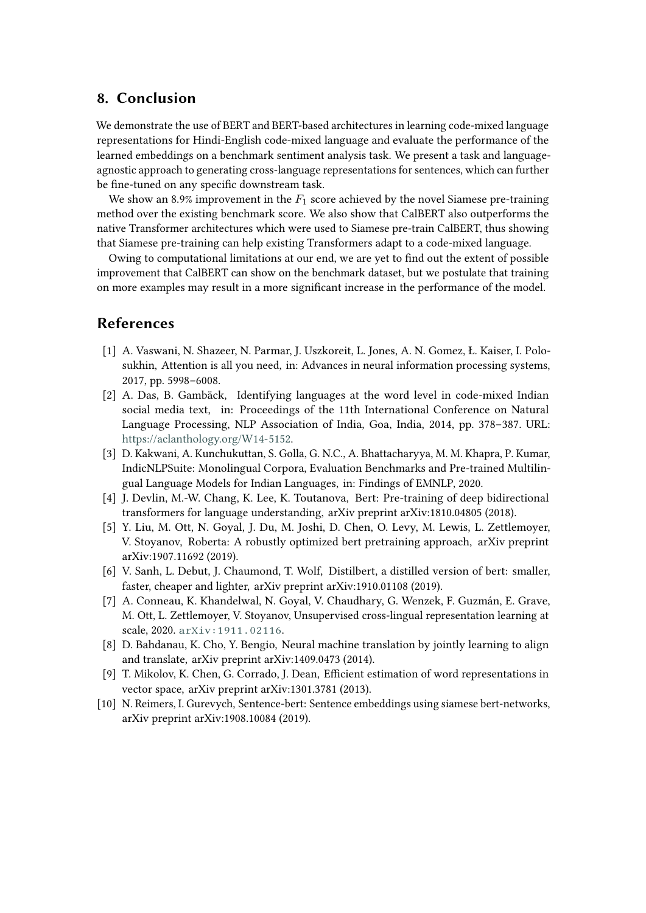# **8. Conclusion**

We demonstrate the use of BERT and BERT-based architectures in learning code-mixed language representations for Hindi-English code-mixed language and evaluate the performance of the learned embeddings on a benchmark sentiment analysis task. We present a task and languageagnostic approach to generating cross-language representations for sentences, which can further be fine-tuned on any specific downstream task.

We show an 8.9% improvement in the  $F_1$  score achieved by the novel Siamese pre-training method over the existing benchmark score. We also show that CalBERT also outperforms the native Transformer architectures which were used to Siamese pre-train CalBERT, thus showing that Siamese pre-training can help existing Transformers adapt to a code-mixed language.

Owing to computational limitations at our end, we are yet to find out the extent of possible improvement that CalBERT can show on the benchmark dataset, but we postulate that training on more examples may result in a more significant increase in the performance of the model.

# **References**

- <span id="page-11-0"></span>[1] A. Vaswani, N. Shazeer, N. Parmar, J. Uszkoreit, L. Jones, A. N. Gomez, Ł. Kaiser, I. Polosukhin, Attention is all you need, in: Advances in neural information processing systems, 2017, pp. 5998–6008.
- <span id="page-11-1"></span>[2] A. Das, B. Gambäck, Identifying languages at the word level in code-mixed Indian social media text, in: Proceedings of the 11th International Conference on Natural Language Processing, NLP Association of India, Goa, India, 2014, pp. 378–387. URL: [https://aclanthology.org/W14-5152.](https://aclanthology.org/W14-5152)
- <span id="page-11-2"></span>[3] D. Kakwani, A. Kunchukuttan, S. Golla, G. N.C., A. Bhattacharyya, M. M. Khapra, P. Kumar, IndicNLPSuite: Monolingual Corpora, Evaluation Benchmarks and Pre-trained Multilingual Language Models for Indian Languages, in: Findings of EMNLP, 2020.
- <span id="page-11-3"></span>[4] J. Devlin, M.-W. Chang, K. Lee, K. Toutanova, Bert: Pre-training of deep bidirectional transformers for language understanding, arXiv preprint arXiv:1810.04805 (2018).
- <span id="page-11-4"></span>[5] Y. Liu, M. Ott, N. Goyal, J. Du, M. Joshi, D. Chen, O. Levy, M. Lewis, L. Zettlemoyer, V. Stoyanov, Roberta: A robustly optimized bert pretraining approach, arXiv preprint arXiv:1907.11692 (2019).
- <span id="page-11-5"></span>[6] V. Sanh, L. Debut, J. Chaumond, T. Wolf, Distilbert, a distilled version of bert: smaller, faster, cheaper and lighter, arXiv preprint arXiv:1910.01108 (2019).
- <span id="page-11-6"></span>[7] A. Conneau, K. Khandelwal, N. Goyal, V. Chaudhary, G. Wenzek, F. Guzmán, E. Grave, M. Ott, L. Zettlemoyer, V. Stoyanov, Unsupervised cross-lingual representation learning at scale, 2020. [arXiv:1911.02116](http://arxiv.org/abs/1911.02116).
- <span id="page-11-7"></span>[8] D. Bahdanau, K. Cho, Y. Bengio, Neural machine translation by jointly learning to align and translate, arXiv preprint arXiv:1409.0473 (2014).
- <span id="page-11-8"></span>[9] T. Mikolov, K. Chen, G. Corrado, J. Dean, Efficient estimation of word representations in vector space, arXiv preprint arXiv:1301.3781 (2013).
- <span id="page-11-9"></span>[10] N. Reimers, I. Gurevych, Sentence-bert: Sentence embeddings using siamese bert-networks, arXiv preprint arXiv:1908.10084 (2019).